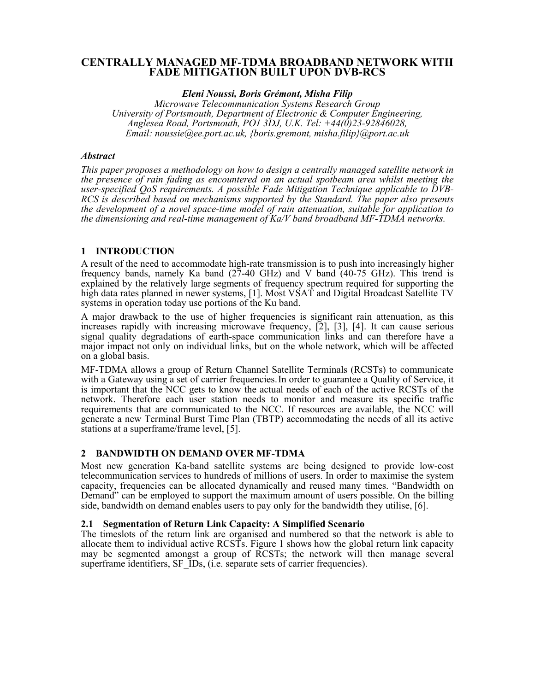# CENTRALLY MANAGED MF-TDMA BROADBAND NETWORK WITH **FADE MITIGATION BUILT UPON DVB-RCS**

## Eleni Noussi, Boris Grémont, Misha Filip

Microwave Telecommunication Systems Research Group University of Portsmouth, Department of Electronic & Computer Engineering, Anglesea Road, Portsmouth, PO1 3DJ, U.K. Tel:  $+44(0)23-92846028$ , Email: noussie@ee.port.ac.uk, {boris.gremont, misha.filip}@port.ac.uk

## **Abstract**

This paper proposes a methodology on how to design a centrally managed satellite network in the presence of rain fading as encountered on an actual spotbeam area whilst meeting the user-specified QoS requirements. A possible Fade Mitigation Technique applicable to  $\overline{D}VB$ RCS is described based on mechanisms supported by the Standard. The paper also presents the development of a novel space-time model of rain attenuation, suitable for application to the dimensioning and real-time management of Ka/V band broadband MF-TDMA networks.

# 1 INTRODUCTION

A result of the need to accommodate high-rate transmission is to push into increasingly higher frequency bands, namely Ka band  $(27-40 \text{ GHz})$  and V band  $(40-75 \text{ GHz})$ . This trend is explained by the relatively large segments of frequency spectrum required for supporting the high data rates planned in newer systems, [1]. Most VSAT and Digital Broadcast Satellite TV systems in operation today use portions of the Ku band.

A major drawback to the use of higher frequencies is significant rain attenuation, as this increases rapidly with increasing microwave frequency, [2], [3], [4]. It can cause serious signal quality degradations of earth-space communication links and can therefore have a major impact not only on individual links, but on the whole network, which will be affected on a global basis.

MF-TDMA allows a group of Return Channel Satellite Terminals (RCSTs) to communicate with a Gateway using a set of carrier frequencies. In order to guarantee a Quality of Service, it is important that the NCC gets to know the actual needs of each of the active RCSTs of the network. Therefore each user station needs to monitor and measure its specific traffic requirements that are communicated to the NCC. If resources are available, the NCC will generate a new Terminal Burst Time Plan (TBTP) accommodating the needs of all its active stations at a superframe/frame level, [5].

# 2 BANDWIDTH ON DEMAND OVER MF-TDMA

Most new generation Ka-band satellite systems are being designed to provide low-cost telecommunication services to hundreds of millions of users. In order to maximise the system capacity, frequencies can be allocated dynamically and reused many times. "Bandwidth on Demand" can be employed to support the maximum amount of users possible. On the billing side, bandwidth on demand enables users to pay only for the bandwidth they utilise, [6].

# 2.1 Segmentation of Return Link Capacity: A Simplified Scenario

The timeslots of the return link are organised and numbered so that the network is able to allocate them to individual active RCSTs. Figure 1 shows how the global return link capacity may be segmented amongst a group of RCSTs; the network will then manage several superframe identifiers, SF IDs, (*i.e.* separate sets of carrier frequencies).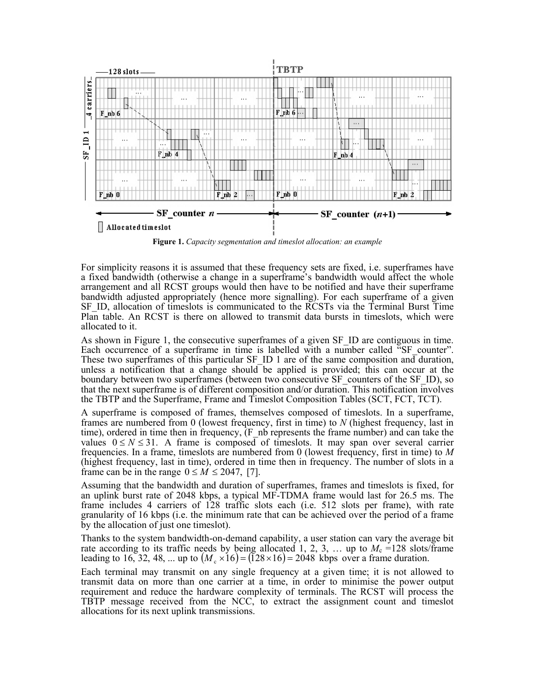

Figure 1. Capacity segmentation and timeslot allocation: an example

For simplicity reasons it is assumed that these frequency sets are fixed, i.e. superframes have a fixed bandwidth (otherwise a change in a superframe's bandwidth would affect the whole arrangement and all RCST groups would then have to be notified and have their superframe bandwidth adjusted appropriately (hence more signalling). For each superframe of a given SF ID, allocation of timeslots is communicated to the RCSTs via the Terminal Burst Time Plan table. An RCST is there on allowed to transmit data bursts in timeslots, which were allocated to it.

As shown in Figure 1, the consecutive superframes of a given SF ID are contiguous in time. Each occurrence of a superframe in time is labelled with a number called "SF\_counter". These two superframes of this particular SF ID 1 are of the same composition and duration, unless a notification that a change should be applied is provided; this can occur at the boundary between two superframes (between two consecutive SF counters of the SF ID), so that the next superframe is of different composition and/or duration. This notification involves the TBTP and the Superframe, Frame and Timeslot Composition Tables (SCT, FCT, TCT).

A superframe is composed of frames, themselves composed of times lots. In a superframe, frames are numbered from 0 (lowest frequency, first in time) to  $N$  (highest frequency, last in time), ordered in time then in frequency,  $(F_n h)$  represents the frame number) and can take the values  $0 \le N \le 31$ . A frame is composed of times lots. It may span over several carrier frequencies. In a frame, timeslots are numbered from 0 (lowest frequency, first in time) to  $M$ (highest frequency, last in time), ordered in time then in frequency. The number of slots in a frame can be in the range  $0 \le M \le 2047$ , [7].

Assuming that the bandwidth and duration of superframes, frames and timeslots is fixed, for an uplink burst rate of 2048 kbps, a typical MF-TDMA frame would last for 26.5 ms. The frame includes 4 carriers of 128 traffic slots each (i.e. 512 slots per frame), with rate granularity of 16 kbps (i.e. the minimum rate that can be achieved over the period of a frame by the allocation of just one times of.

Thanks to the system bandwidth-on-demand capability, a user station can vary the average bit rate according to its traffic needs by being allocated 1, 2, 3, ... up to  $M_c = 128$  slots/frame leading to 16, 32, 48, ... up to  $(M_e \times 16) = (128 \times 16) = 2048$  kbps over a frame duration.

Each terminal may transmit on any single frequency at a given time; it is not allowed to transmit data on more than one carrier at a time, in order to minimise the power output requirement and reduce the hardware complexity of terminals. The RCST will process the TBTP message received from the NCC, to extract the assignment count and timeslot allocations for its next uplink transmissions.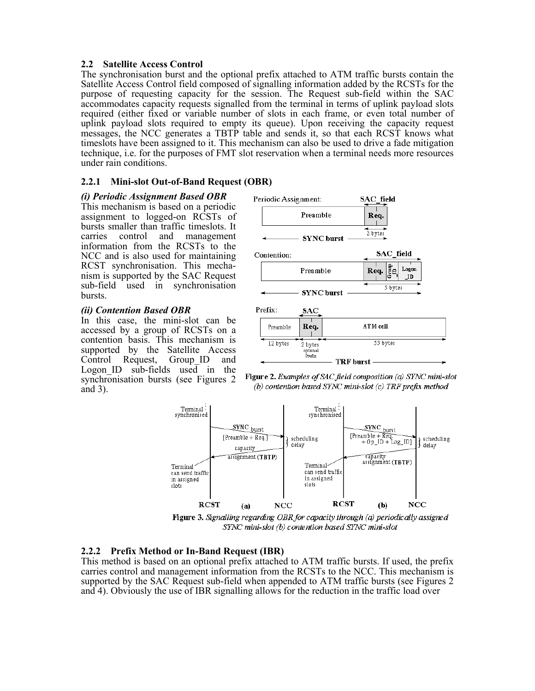### 2.2 Satellite Access Control

The synchronisation burst and the optional prefix attached to ATM traffic bursts contain the Satellite Access Control field composed of signalling information added by the RCSTs for the purpose of requesting capacity for the session. The Request sub-field within the SAC accommodates capacity requests signalled from the terminal in terms of uplink payload slots required (either fixed or variable number of slots in each frame, or even total number of uplink payload slots required to empty its queue). Upon receiving the capacity request messages, the NCC generates a TBTP table and sends it, so that each RCST knows what timeslots have been assigned to it. This mechanism can also be used to drive a fade mitigation technique, i.e. for the purposes of FMT slot reservation when a terminal needs more resources under rain conditions.

# 2.2.1 Mini-slot Out-of-Band Request (OBR)

## (i) Periodic Assignment Based OBR

This mechanism is based on a periodic assignment to logged-on RCSTs of bursts smaller than traffic timeslots. It carries control and management information from the RCSTs to the NCC and is also used for maintaining RCST synchronisation. This mechanism is supported by the SAC Request sub-field used in synchronisation bursts.

## *(ii)* Contention Based OBR

In this case, the mini-slot can be accessed by a group of RCSTs on a contention basis. This mechanism is supported by the Satellite Access Control Request, Group ID and Logon ID sub-fields used in the synchronisation bursts (see Figures 2) and  $3$ ).





TRF burst -



Figure 3. Signalling regarding OBR for capacity through (a) periodically assigned SYNC mini-slot (b) contention based SYNC mini-slot

# 2.2.2 Prefix Method or In-Band Request (IBR)

This method is based on an optional prefix attached to ATM traffic bursts. If used, the prefix carries control and management information from the RCSTs to the NCC. This mechanism is supported by the SAC Request sub-field when appended to ATM traffic bursts (see Figures 2) and 4). Obviously the use of IBR signalling allows for the reduction in the traffic load over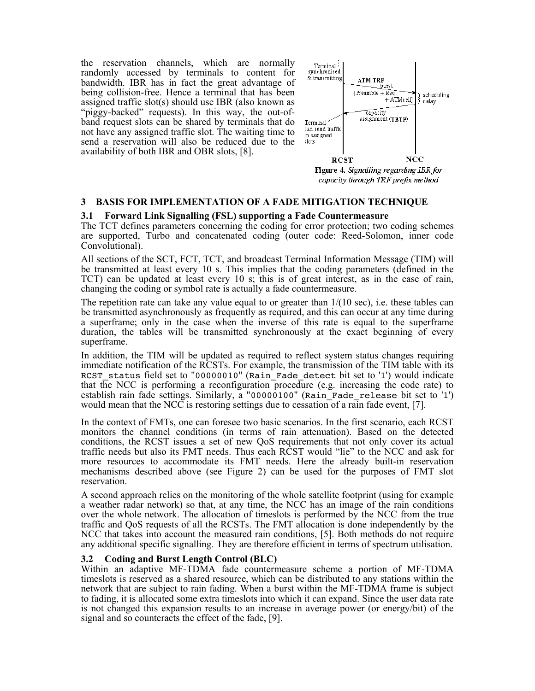the reservation channels, which are normally randomly accessed by terminals to content for bandwidth. IBR has in fact the great advantage of being collision-free. Hence a terminal that has been assigned traffic slot(s) should use IBR (also known as "piggy-backed" requests). In this way, the out-ofband request slots can be shared by terminals that do not have any assigned traffic slot. The waiting time to send a reservation will also be reduced due to the availability of both IBR and OBR slots, [8].



capacity through TRF prefix method

#### **3 BASIS FOR IMPLEMENTATION OF A FADE MITIGATION TECHNIQUE**

#### **Forward Link Signalling (FSL) supporting a Fade Countermeasure**  $3.1$

The TCT defines parameters concerning the coding for error protection; two coding schemes are supported, Turbo and concatenated coding (outer code: Reed-Solomon, inner code Convolutional).

All sections of the SCT, FCT, TCT, and broadcast Terminal Information Message (TIM) will be transmitted at least every 10 s. This implies that the coding parameters (defined in the TCT) can be updated at least every 10 s; this is of great interest, as in the case of rain, changing the coding or symbol rate is actually a fade countermeasure.

The repetition rate can take any value equal to or greater than  $1/(10 \text{ sec})$ , i.e. these tables can be transmitted asynchronously as frequently as required, and this can occur at any time during a superframe; only in the case when the inverse of this rate is equal to the superframe duration, the tables will be transmitted synchronously at the exact beginning of every superframe.

In addition, the TIM will be updated as required to reflect system status changes requiring immediate notification of the RCSTs. For example, the transmission of the TIM table with its RCST status field set to "00000010" (Rain Fade detect bit set to '1') would indicate that the NCC is performing a reconfiguration procedure (e.g. increasing the code rate) to establish rain fade settings. Similarly, a "00000100" (Rain Fade release bit set to '1') would mean that the NCC is restoring settings due to cessation of a rain fade event, [7].

In the context of FMTs, one can foresee two basic scenarios. In the first scenario, each RCST monitors the channel conditions (in terms of rain attenuation). Based on the detected conditions, the RCST issues a set of new QoS requirements that not only cover its actual traffic needs but also its FMT needs. Thus each RCST would "lie" to the NCC and ask for more resources to accommodate its FMT needs. Here the already built-in reservation mechanisms described above (see Figure 2) can be used for the purposes of FMT slot reservation.

A second approach relies on the monitoring of the whole satellite footprint (using for example a weather radar network) so that, at any time, the NCC has an image of the rain conditions over the whole network. The allocation of timeslots is performed by the NCC from the true traffic and QoS requests of all the RCSTs. The FMT allocation is done independently by the NCC that takes into account the measured rain conditions, [5]. Both methods do not require any additional specific signalling. They are therefore efficient in terms of spectrum utilisation.

#### Coding and Burst Length Control (BLC)  $3.2$

Within an adaptive MF-TDMA fade countermeasure scheme a portion of MF-TDMA times of is reserved as a shared resource, which can be distributed to any stations within the network that are subject to rain fading. When a burst within the MF-TDMA frame is subject to fading, it is allocated some extra times lots into which it can expand. Since the user data rate is not changed this expansion results to an increase in average power (or energy/bit) of the signal and so counteracts the effect of the fade, [9].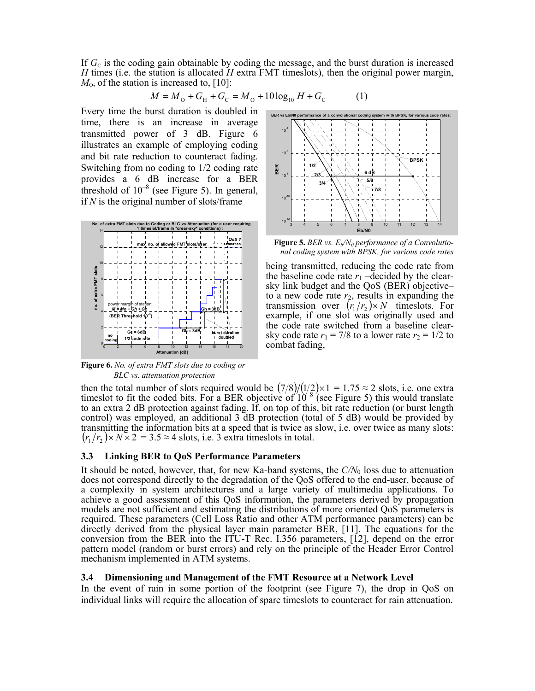If  $G<sub>c</sub>$  is the coding gain obtainable by coding the message, and the burst duration is increased H times (i.e. the station is allocated  $H$  extra FMT timeslots), then the original power margin,  $M<sub>0</sub>$ , of the station is increased to, [10]:

$$
M = M_{\rm o} + G_{\rm H} + G_{\rm C} = M_{\rm o} + 10 \log_{10} H + G_{\rm C}
$$
 (1)

Every time the burst duration is doubled in time, there is an increase in average transmitted power of 3 dB. Figure 6 illustrates an example of employing coding and bit rate reduction to counteract fading. Switching from no coding to 1/2 coding rate provides a 6 dB increase for a BER threshold of  $10^{-8}$  (see Figure 5). In general, if  $N$  is the original number of slots/frame



Figure 6. No. of extra FMT slots due to coding or BLC vs. attenuation protection



)

**Figure 5.** BER vs.  $E_b/N_0$  performance of a Convolutional coding system with BPSK, for various code rates

being transmitted, reducing the code rate from the baseline code rate  $r_1$  -decided by the clearsky link budget and the QoS (BER) objectiveto a new code rate  $r_2$ , results in expanding the<br>transmission over  $(r_1/r_2) \times N$  timeslots. For example, if one slot was originally used and the code rate switched from a baseline clearsky code rate  $r_1 = 7/8$  to a lower rate  $r_2 = 1/2$  to combat fading,

then the total number of slots required would be  $(7/8)/(1/2) \times 1 = 1.75 \approx 2$  slots, i.e. one extra timeslot to fit the coded bits. For a BER objective of  $10^{-8}$  (see Figure 5) this would translate to an extra 2 dB protection against fading. If, on top of this, bit rate reduction (or burst length control) was employed, an additional 3 dB protection (total of 5 dB) would be provided by transmitting the information bits at a speed that is twice as slow, *i.e.* over twice as many slots:  $(r_1/r_2) \times N \times 2 = 3.5 \approx 4$  slots, i.e. 3 extra times lots in total.

#### 3.3 Linking BER to QoS Performance Parameters

It should be noted, however, that, for new Ka-band systems, the  $C/N_0$  loss due to attenuation does not correspond directly to the degradation of the QoS offered to the end-user, because of a complexity in system architectures and a large variety of multimedia applications. To achieve a good assessment of this QoS information, the parameters derived by propagation models are not sufficient and estimating the distributions of more oriented QoS parameters is required. These parameters (Cell Loss Ratio and other ATM performance parameters) can be directly derived from the physical layer main parameter BER, [11]. The equations for the conversion from the BER into the ITU-T Rec. I.356 parameters, [12], depend on the error pattern model (random or burst errors) and rely on the principle of the Header Error Control mechanism implemented in ATM systems.

#### Dimensioning and Management of the FMT Resource at a Network Level  $3.4^{\circ}$

In the event of rain in some portion of the footprint (see Figure 7), the drop in QoS on individual links will require the allocation of spare timeslots to counteract for rain attenuation.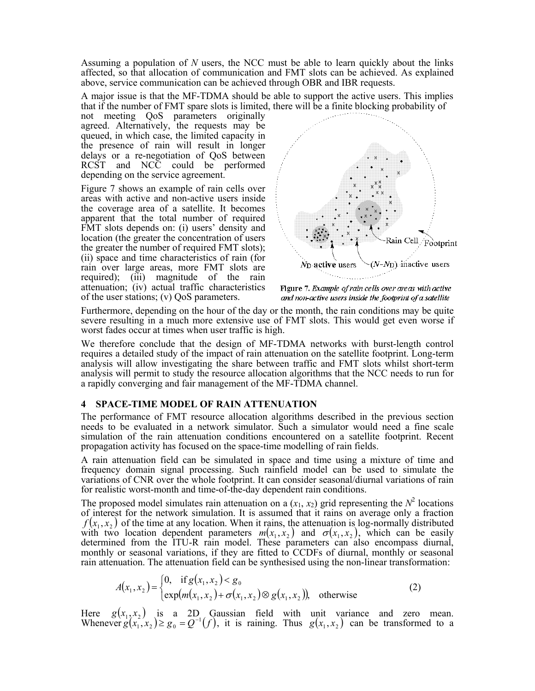Assuming a population of N users, the NCC must be able to learn quickly about the links affected, so that allocation of communication and FMT slots can be achieved. As explained above, service communication can be achieved through OBR and IBR requests.

A major issue is that the MF-TDMA should be able to support the active users. This implies that if the number of FMT spare slots is limited, there will be a finite blocking probability of

not meeting QoS parameters originally<br>agreed. Alternatively, the requests may be queued, in which case, the limited capacity in the presence of rain will result in longer delays or a re-negotiation of QoS between RCST and NCC could be performed depending on the service agreement.

Figure 7 shows an example of rain cells over areas with active and non-active users inside the coverage area of a satellite. It becomes apparent that the total number of required FMT slots depends on: (i) users' density and location (the greater the concentration of users) the greater the number of required FMT slots); (ii) space and time characteristics of rain (for rain over large areas, more FMT slots are required); (iii) magnitude of the rain attenuation; (iv) actual traffic characteristics of the user stations; (v) QoS parameters.



Figure 7. Example of rain cells over areas with active and non-active users inside the footprint of a satellite

Furthermore, depending on the hour of the day or the month, the rain conditions may be quite severe resulting in a much more extensive use of FMT slots. This would get even worse if worst fades occur at times when user traffic is high.

We therefore conclude that the design of MF-TDMA networks with burst-length control requires a detailed study of the impact of rain attenuation on the satellite footprint. Long-term analysis will allow investigating the share between traffic and FMT slots whilst short-term analysis will permit to study the resource allocation algorithms that the NCC needs to run for a rapidly converging and fair management of the MF-TDMA channel.

#### 4 SPACE-TIME MODEL OF RAIN ATTENUATION

The performance of FMT resource allocation algorithms described in the previous section needs to be evaluated in a network simulator. Such a simulator would need a fine scale simulation of the rain attenuation conditions encountered on a satellite footprint. Recent propagation activity has focused on the space-time modelling of rain fields.

A rain attenuation field can be simulated in space and time using a mixture of time and frequency domain signal processing. Such rainfield model can be used to simulate the variations of CNR over the whole footprint. It can consider seasonal/diurnal variations of rain for realistic worst-month and time-of-the-day dependent rain conditions.

The proposed model simulates rain attenuation on a  $(x_1, x_2)$  grid representing the  $N^2$  locations of interest for the network simulation. It is assumed that it rains on average only a fraction  $f(x_1, x_2)$  of the time at any location. When it rains, the attenuation is log-normally distributed with two location dependent parameters  $m(x_1, x_2)$  and  $\sigma(x_1, x_2)$ , which can be easily determined from the ITU-R rain model. These parameters can also encompass diurnal, monthly or seasonal variations, if they are fitted to CCDFs of diurnal, monthly or seasonal rain attenuation. The attenuation field can be synthesised using the non-linear transformation:

$$
A(x_1, x_2) = \begin{cases} 0, & \text{if } g(x_1, x_2) < g_0 \\ \exp(m(x_1, x_2) + \sigma(x_1, x_2) \otimes g(x_1, x_2)), & \text{otherwise} \end{cases} \tag{2}
$$

Here  $g(x_1, x_2)$  is a 2D Gaussian field with unit variance and zero mean.<br>Whenever  $g(x_1, x_2) \ge g_0 = Q^{-1}(f)$ , it is raining. Thus  $g(x_1, x_2)$  can be transformed to a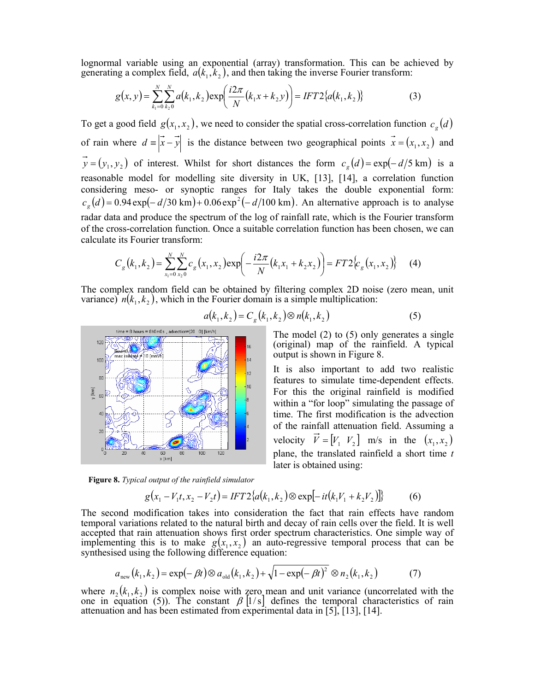lognormal variable using an exponential (array) transformation. This can be achieved by generating a complex field,  $a(k_1, k_2)$ , and then taking the inverse Fourier transform:

$$
g(x, y) = \sum_{k_1=0}^{N} \sum_{k_2=0}^{N} a(k_1, k_2) \exp\left(\frac{i2\pi}{N}(k_1x + k_2y)\right) = IFT2\{a(k_1, k_2)\}\tag{3}
$$

To get a good field  $g(x_1, x_2)$ , we need to consider the spatial cross-correlation function  $c_g(d)$ of rain where  $d = |\vec{x} - \vec{y}|$  is the distance between two geographical points  $\vec{x} = (x_1, x_2)$  and  $\vec{y} = (y_1, y_2)$  of interest. Whilst for short distances the form  $c_g(d) = \exp(-d/5 \text{ km})$  is a reasonable model for modelling site diversity in UK, [13], [14], a correlation function considering meso- or synoptic ranges for Italy takes the double exponential form:  $c_g(d) = 0.94 \exp(-d/30 \text{ km}) + 0.06 \exp^2(-d/100 \text{ km})$ . An alternative approach is to analyse radar data and produce the spectrum of the log of rainfall rate, which is the Fourier transform of the cross-correlation function. Once a suitable correlation function has been chosen, we can calculate its Fourier transform:

$$
C_g(k_1, k_2) = \sum_{x_1=0}^{N} \sum_{x_2=0}^{N} c_g(x_1, x_2) \exp\left(-\frac{i2\pi}{N}(k_1 x_1 + k_2 x_2)\right) = FT2\left\{c_g(x_1, x_2)\right\}
$$
 (4)

The complex random field can be obtained by filtering complex 2D noise (zero mean, unit variance)  $n(k_1, k_2)$ , which in the Fourier domain is a simple multiplication:



 $a(k_1, k_2) = C_e(k_1, k_2) \otimes n(k_1, k_2)$  $(5)$ 

The model  $(2)$  to  $(5)$  only generates a single (original) map of the rainfield. A typical output is shown in Figure 8.

It is also important to add two realistic features to simulate time-dependent effects. For this the original rainfield is modified within a "for loop" simulating the passage of time. The first modification is the advection of the rainfall attenuation field. Assuming a velocity  $\vec{V} = [V_1 \ V_2]$  m/s in the  $(x_1, x_2)$ plane, the translated rainfield a short time  $t$ later is obtained using:

Figure 8. Typical output of the rainfield simulator

$$
g(x_1 - V_1 t, x_2 - V_2 t) = IFT2\{a(k_1, k_2) \otimes \exp[-it(k_1 V_1 + k_2 V_2)]\}
$$
(6)

The second modification takes into consideration the fact that rain effects have random temporal variations related to the natural birth and decay of rain cells over the field. It is well accepted that rain attenuation shows first order spectrum characteristics. One simple way of implementing this is to make  $g(x_1, x_2)$  an auto-regressive temporal process that can be synthesised using the following difference equation:

$$
a_{\text{new}}(k_1, k_2) = \exp(-\beta t) \otimes a_{\text{old}}(k_1, k_2) + \sqrt{1 - \exp(-\beta t)^2} \otimes n_2(k_1, k_2)
$$
 (7)

where  $n_2(k_1, k_2)$  is complex noise with zero mean and unit variance (uncorrelated with the one in equation (5)). The constant  $\beta$  [1/s] defines the temporal characteristics of rain attenuation and has been estimated from experimental data in [5], [13], [14].